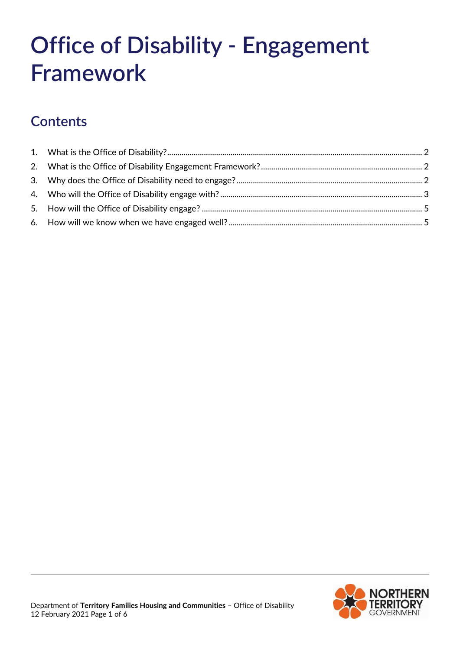# **Office of Disability - Engagement Framework**

# **Contents**

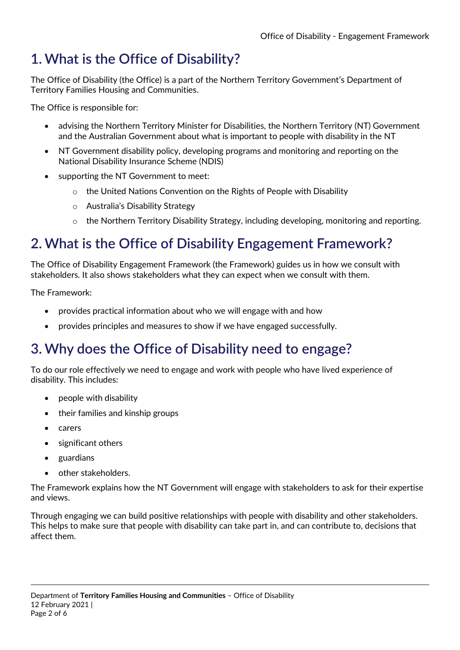# <span id="page-1-0"></span>**1. What is the Office of Disability?**

The Office of Disability (the Office) is a part of the Northern Territory Government's Department of Territory Families Housing and Communities.

The Office is responsible for:

- advising the Northern Territory Minister for Disabilities, the Northern Territory (NT) Government and the Australian Government about what is important to people with disability in the NT
- NT Government disability policy, developing programs and monitoring and reporting on the National Disability Insurance Scheme (NDIS)
- supporting the NT Government to meet:
	- o the United Nations Convention on the Rights of People with Disability
	- o Australia's Disability Strategy
	- $\circ$  the Northern Territory Disability Strategy, including developing, monitoring and reporting.

## <span id="page-1-1"></span>**2. What is the Office of Disability Engagement Framework?**

The Office of Disability Engagement Framework (the Framework) guides us in how we consult with stakeholders. It also shows stakeholders what they can expect when we consult with them.

The Framework:

- provides practical information about who we will engage with and how
- provides principles and measures to show if we have engaged successfully.

## <span id="page-1-2"></span>**3. Why does the Office of Disability need to engage?**

To do our role effectively we need to engage and work with people who have lived experience of disability. This includes:

- people with disability
- their families and kinship groups
- carers
- significant others
- guardians
- other stakeholders.

The Framework explains how the NT Government will engage with stakeholders to ask for their expertise and views.

Through engaging we can build positive relationships with people with disability and other stakeholders. This helps to make sure that people with disability can take part in, and can contribute to, decisions that affect them.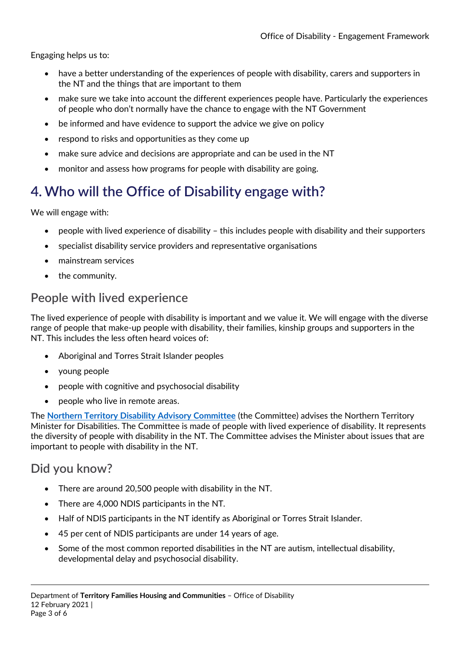Engaging helps us to:

- have a better understanding of the experiences of people with disability, carers and supporters in the NT and the things that are important to them
- make sure we take into account the different experiences people have. Particularly the experiences of people who don't normally have the chance to engage with the NT Government
- be informed and have evidence to support the advice we give on policy
- respond to risks and opportunities as they come up
- make sure advice and decisions are appropriate and can be used in the NT
- monitor and assess how programs for people with disability are going.

## <span id="page-2-0"></span>**4. Who will the Office of Disability engage with?**

We will engage with:

- people with lived experience of disability this includes people with disability and their supporters
- specialist disability service providers and representative organisations
- mainstream services
- the community.

#### **People with lived experience**

The lived experience of people with disability is important and we value it. We will engage with the diverse range of people that make-up people with disability, their families, kinship groups and supporters in the NT. This includes the less often heard voices of:

- Aboriginal and Torres Strait Islander peoples
- young people
- people with cognitive and psychosocial disability
- people who live in remote areas.

The **[Northern Territory Disability Advisory Committee](https://tfhc.nt.gov.au/social-inclusion-and-interpreting-services/office-of-disability/disability-advisory-committee)** (the Committee) advises the Northern Territory Minister for Disabilities. The Committee is made of people with lived experience of disability. It represents the diversity of people with disability in the NT. The Committee advises the Minister about issues that are important to people with disability in the NT.

#### **Did you know?**

- There are around 20,500 people with disability in the NT.
- There are 4,000 NDIS participants in the NT.
- Half of NDIS participants in the NT identify as Aboriginal or Torres Strait Islander.
- 45 per cent of NDIS participants are under 14 years of age.
- Some of the most common reported disabilities in the NT are autism, intellectual disability, developmental delay and psychosocial disability.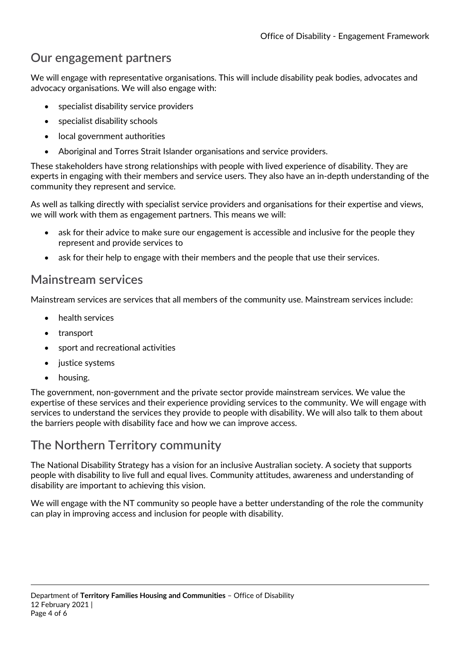#### **Our engagement partners**

We will engage with representative organisations. This will include disability peak bodies, advocates and advocacy organisations. We will also engage with:

- specialist disability service providers
- specialist disability schools
- local government authorities
- Aboriginal and Torres Strait Islander organisations and service providers.

These stakeholders have strong relationships with people with lived experience of disability. They are experts in engaging with their members and service users. They also have an in-depth understanding of the community they represent and service.

As well as talking directly with specialist service providers and organisations for their expertise and views, we will work with them as engagement partners. This means we will:

- ask for their advice to make sure our engagement is accessible and inclusive for the people they represent and provide services to
- ask for their help to engage with their members and the people that use their services.

#### **Mainstream services**

Mainstream services are services that all members of the community use. Mainstream services include:

- health services
- transport
- sport and recreational activities
- justice systems
- housing.

The government, non-government and the private sector provide mainstream services. We value the expertise of these services and their experience providing services to the community. We will engage with services to understand the services they provide to people with disability. We will also talk to them about the barriers people with disability face and how we can improve access.

#### **The Northern Territory community**

The National Disability Strategy has a vision for an inclusive Australian society. A society that supports people with disability to live full and equal lives. Community attitudes, awareness and understanding of disability are important to achieving this vision.

We will engage with the NT community so people have a better understanding of the role the community can play in improving access and inclusion for people with disability.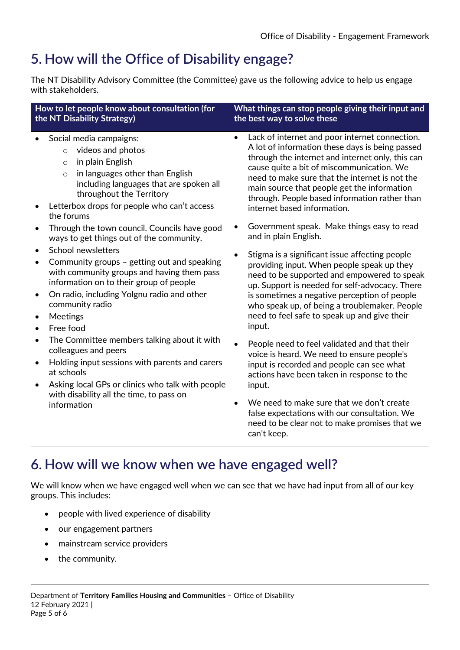## <span id="page-4-0"></span>**5. How will the Office of Disability engage?**

The NT Disability Advisory Committee (the Committee) gave us the following advice to help us engage with stakeholders.

| What things can stop people giving their input and<br>the best way to solve these                                                                                                                                                                                                                                                                                                                                                                                                                                                                                                                                                                                                                                                                                                                                                                                                                                                                                                                                                                                                                                                                                                                                                                       |  |
|---------------------------------------------------------------------------------------------------------------------------------------------------------------------------------------------------------------------------------------------------------------------------------------------------------------------------------------------------------------------------------------------------------------------------------------------------------------------------------------------------------------------------------------------------------------------------------------------------------------------------------------------------------------------------------------------------------------------------------------------------------------------------------------------------------------------------------------------------------------------------------------------------------------------------------------------------------------------------------------------------------------------------------------------------------------------------------------------------------------------------------------------------------------------------------------------------------------------------------------------------------|--|
| Lack of internet and poor internet connection.<br>$\bullet$<br>A lot of information these days is being passed<br>through the internet and internet only, this can<br>cause quite a bit of miscommunication. We<br>need to make sure that the internet is not the<br>main source that people get the information<br>through. People based information rather than<br>internet based information.<br>Government speak. Make things easy to read<br>$\bullet$<br>and in plain English.<br>Stigma is a significant issue affecting people<br>$\bullet$<br>providing input. When people speak up they<br>need to be supported and empowered to speak<br>up. Support is needed for self-advocacy. There<br>is sometimes a negative perception of people<br>who speak up, of being a troublemaker. People<br>need to feel safe to speak up and give their<br>input.<br>People need to feel validated and that their<br>$\bullet$<br>voice is heard. We need to ensure people's<br>input is recorded and people can see what<br>actions have been taken in response to the<br>input.<br>We need to make sure that we don't create<br>$\bullet$<br>false expectations with our consultation. We<br>need to be clear not to make promises that we<br>can't keep. |  |
|                                                                                                                                                                                                                                                                                                                                                                                                                                                                                                                                                                                                                                                                                                                                                                                                                                                                                                                                                                                                                                                                                                                                                                                                                                                         |  |

### <span id="page-4-1"></span>**6. How will we know when we have engaged well?**

We will know when we have engaged well when we can see that we have had input from all of our key groups. This includes:

- people with lived experience of disability
- our engagement partners
- mainstream service providers
- the community.